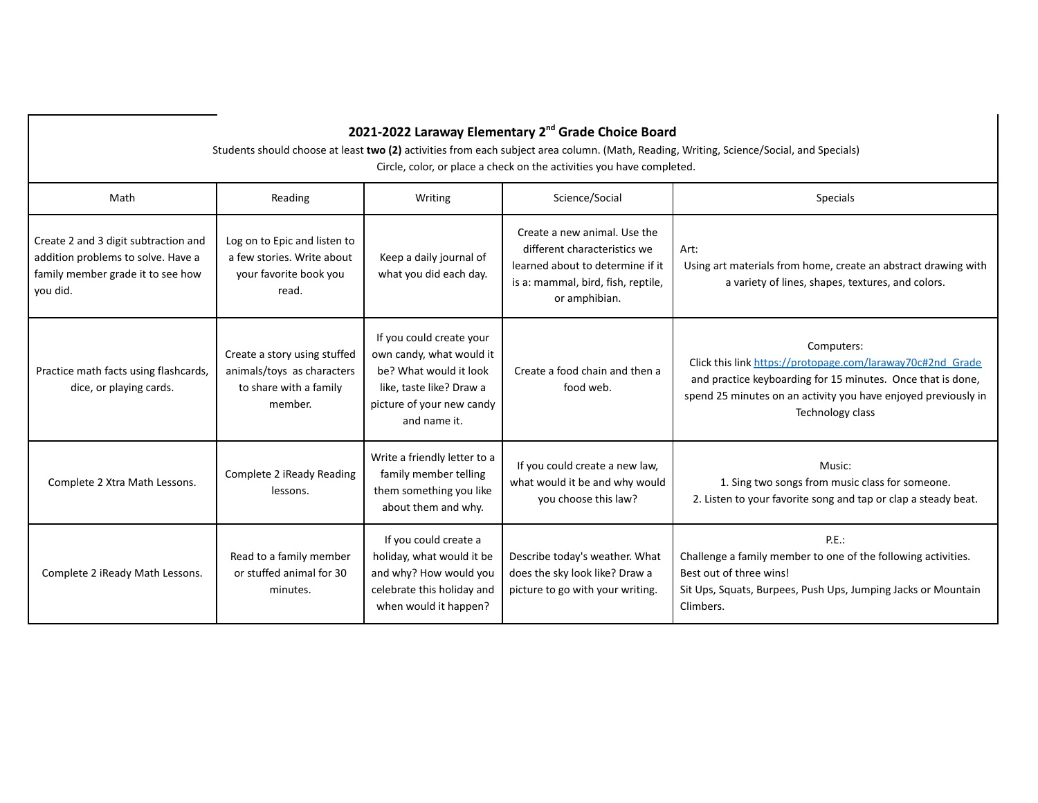| 2021-2022 Laraway Elementary 2 <sup>nd</sup> Grade Choice Board<br>Students should choose at least two (2) activities from each subject area column. (Math, Reading, Writing, Science/Social, and Specials)<br>Circle, color, or place a check on the activities you have completed. |                                                                                                 |                                                                                                                                                         |                                                                                                                                                         |                                                                                                                                                                                                                               |  |  |  |
|--------------------------------------------------------------------------------------------------------------------------------------------------------------------------------------------------------------------------------------------------------------------------------------|-------------------------------------------------------------------------------------------------|---------------------------------------------------------------------------------------------------------------------------------------------------------|---------------------------------------------------------------------------------------------------------------------------------------------------------|-------------------------------------------------------------------------------------------------------------------------------------------------------------------------------------------------------------------------------|--|--|--|
| Math                                                                                                                                                                                                                                                                                 | Reading                                                                                         | Writing                                                                                                                                                 | Science/Social                                                                                                                                          | <b>Specials</b>                                                                                                                                                                                                               |  |  |  |
| Create 2 and 3 digit subtraction and<br>addition problems to solve. Have a<br>family member grade it to see how<br>you did.                                                                                                                                                          | Log on to Epic and listen to<br>a few stories. Write about<br>your favorite book you<br>read.   | Keep a daily journal of<br>what you did each day.                                                                                                       | Create a new animal. Use the<br>different characteristics we<br>learned about to determine if it<br>is a: mammal, bird, fish, reptile,<br>or amphibian. | Art:<br>Using art materials from home, create an abstract drawing with<br>a variety of lines, shapes, textures, and colors.                                                                                                   |  |  |  |
| Practice math facts using flashcards,<br>dice, or playing cards.                                                                                                                                                                                                                     | Create a story using stuffed<br>animals/toys as characters<br>to share with a family<br>member. | If you could create your<br>own candy, what would it<br>be? What would it look<br>like, taste like? Draw a<br>picture of your new candy<br>and name it. | Create a food chain and then a<br>food web.                                                                                                             | Computers:<br>Click this link https://protopage.com/laraway70c#2nd Grade<br>and practice keyboarding for 15 minutes. Once that is done,<br>spend 25 minutes on an activity you have enjoyed previously in<br>Technology class |  |  |  |
| Complete 2 Xtra Math Lessons.                                                                                                                                                                                                                                                        | Complete 2 iReady Reading<br>lessons.                                                           | Write a friendly letter to a<br>family member telling<br>them something you like<br>about them and why.                                                 | If you could create a new law,<br>what would it be and why would<br>you choose this law?                                                                | Music:<br>1. Sing two songs from music class for someone.<br>2. Listen to your favorite song and tap or clap a steady beat.                                                                                                   |  |  |  |
| Complete 2 iReady Math Lessons.                                                                                                                                                                                                                                                      | Read to a family member<br>or stuffed animal for 30<br>minutes.                                 | If you could create a<br>holiday, what would it be<br>and why? How would you<br>celebrate this holiday and<br>when would it happen?                     | Describe today's weather. What<br>does the sky look like? Draw a<br>picture to go with your writing.                                                    | P.E.:<br>Challenge a family member to one of the following activities.<br>Best out of three wins!<br>Sit Ups, Squats, Burpees, Push Ups, Jumping Jacks or Mountain<br>Climbers.                                               |  |  |  |